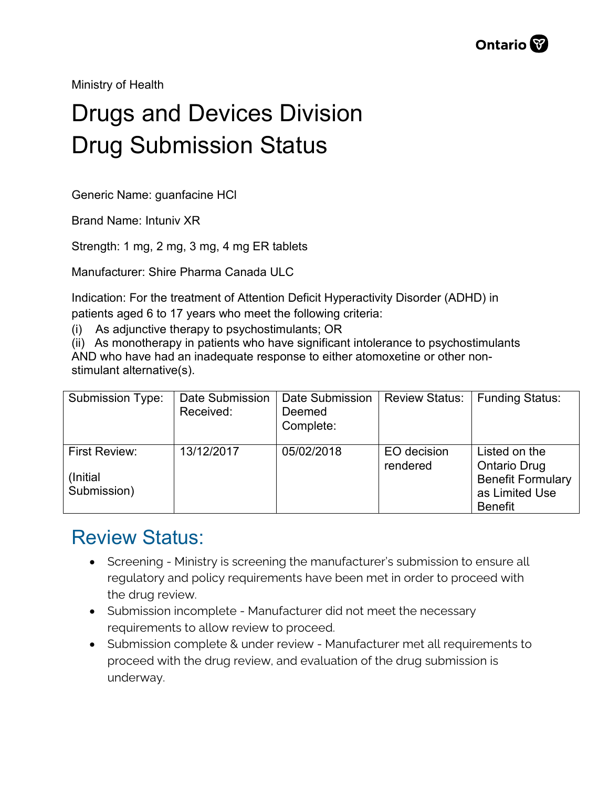Ministry of Health

## Drugs and Devices Division Drug Submission Status

Generic Name: guanfacine HCl

Brand Name: Intuniv XR

Strength: 1 mg, 2 mg, 3 mg, 4 mg ER tablets

Manufacturer: Shire Pharma Canada ULC

Indication: For the treatment of Attention Deficit Hyperactivity Disorder (ADHD) in patients aged 6 to 17 years who meet the following criteria:

(i) As adjunctive therapy to psychostimulants; OR

(ii) As monotherapy in patients who have significant intolerance to psychostimulants AND who have had an inadequate response to either atomoxetine or other nonstimulant alternative(s).

| <b>Submission Type:</b>                   | Date Submission<br>Received: | Date Submission<br>Deemed<br>Complete: | <b>Review Status:</b>   | Funding Status:                                                                                      |
|-------------------------------------------|------------------------------|----------------------------------------|-------------------------|------------------------------------------------------------------------------------------------------|
| First Review:<br>(Initial)<br>Submission) | 13/12/2017                   | 05/02/2018                             | EO decision<br>rendered | Listed on the<br><b>Ontario Drug</b><br><b>Benefit Formulary</b><br>as Limited Use<br><b>Benefit</b> |

## Review Status:

- Screening Ministry is screening the manufacturer's submission to ensure all regulatory and policy requirements have been met in order to proceed with the drug review.
- Submission incomplete Manufacturer did not meet the necessary requirements to allow review to proceed.
- Submission complete & under review Manufacturer met all requirements to proceed with the drug review, and evaluation of the drug submission is underway.